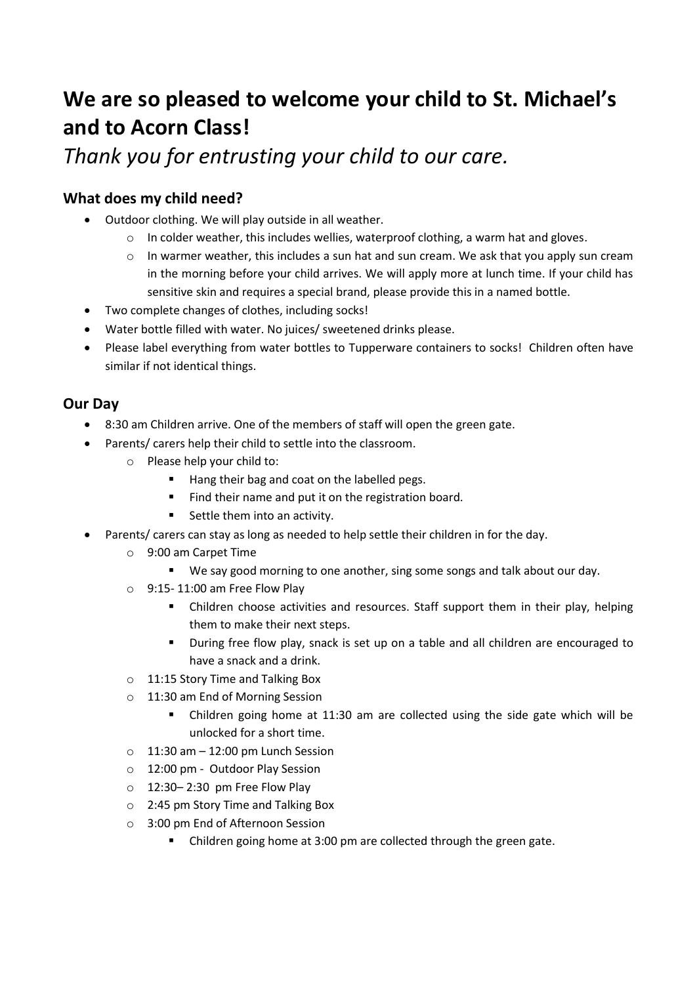# **We are so pleased to welcome your child to St. Michael's and to Acorn Class!**

*Thank you for entrusting your child to our care.*

# **What does my child need?**

- Outdoor clothing. We will play outside in all weather.
	- $\circ$  In colder weather, this includes wellies, waterproof clothing, a warm hat and gloves.
	- $\circ$  In warmer weather, this includes a sun hat and sun cream. We ask that you apply sun cream in the morning before your child arrives. We will apply more at lunch time. If your child has sensitive skin and requires a special brand, please provide this in a named bottle.
- Two complete changes of clothes, including socks!
- Water bottle filled with water. No juices/ sweetened drinks please.
- Please label everything from water bottles to Tupperware containers to socks! Children often have similar if not identical things.

# **Our Day**

- 8:30 am Children arrive. One of the members of staff will open the green gate.
- Parents/ carers help their child to settle into the classroom.
	- o Please help your child to:
		- Hang their bag and coat on the labelled pegs.
		- Find their name and put it on the registration board.
		- Settle them into an activity.
- Parents/ carers can stay as long as needed to help settle their children in for the day.
	- o 9:00 am Carpet Time
		- We say good morning to one another, sing some songs and talk about our day.
	- $\circ$  9:15-11:00 am Free Flow Play
		- **E** Children choose activities and resources. Staff support them in their play, helping them to make their next steps.
		- During free flow play, snack is set up on a table and all children are encouraged to have a snack and a drink.
	- o 11:15 Story Time and Talking Box
	- o 11:30 am End of Morning Session
		- Children going home at 11:30 am are collected using the side gate which will be unlocked for a short time.
	- $\circ$  11:30 am 12:00 pm Lunch Session
	- o 12:00 pm Outdoor Play Session
	- o 12:30– 2:30 pm Free Flow Play
	- o 2:45 pm Story Time and Talking Box
	- o 3:00 pm End of Afternoon Session
		- Children going home at 3:00 pm are collected through the green gate.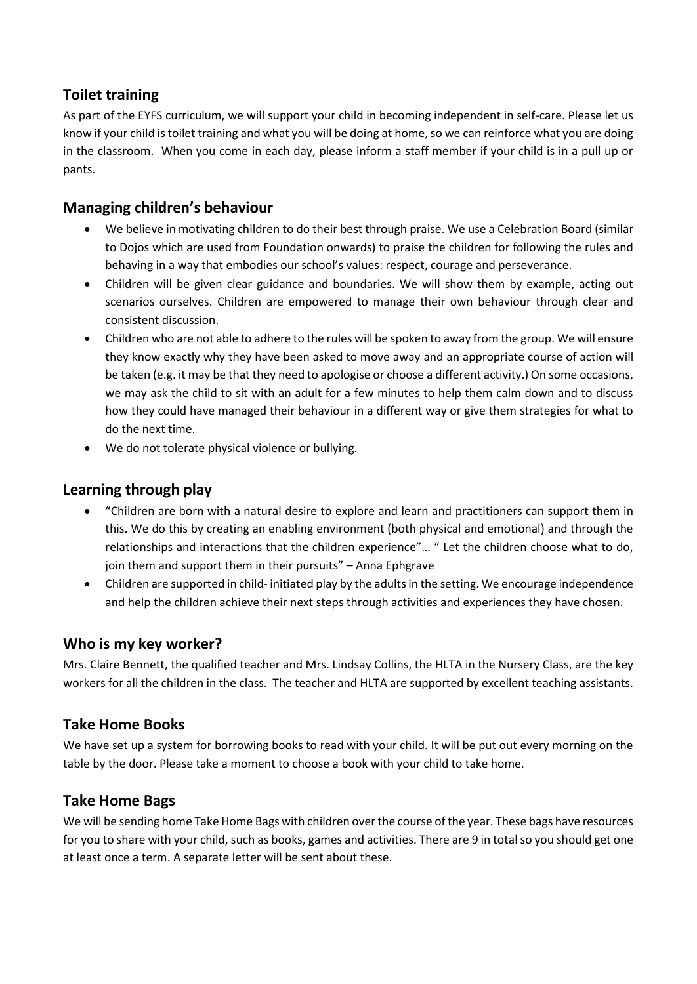## **Toilet training**

As part of the EYFS curriculum, we will support your child in becoming independent in self-care. Please let us know if your child is toilet training and what you will be doing at home, so we can reinforce what you are doing in the classroom. When you come in each day, please inform a staff member if your child is in a pull up or pants.

## **Managing children's behaviour**

- We believe in motivating children to do their best through praise. We use a Celebration Board (similar to Dojos which are used from Foundation onwards) to praise the children for following the rules and behaving in a way that embodies our school's values: respect, courage and perseverance.
- Children will be given clear guidance and boundaries. We will show them by example, acting out scenarios ourselves. Children are empowered to manage their own behaviour through clear and consistent discussion.
- Children who are not able to adhere to the rules will be spoken to away from the group. We will ensure they know exactly why they have been asked to move away and an appropriate course of action will be taken (e.g. it may be that they need to apologise or choose a different activity.) On some occasions, we may ask the child to sit with an adult for a few minutes to help them calm down and to discuss how they could have managed their behaviour in a different way or give them strategies for what to do the next time.
- We do not tolerate physical violence or bullying.

#### **Learning through play**

- "Children are born with a natural desire to explore and learn and practitioners can support them in this. We do this by creating an enabling environment (both physical and emotional) and through the relationships and interactions that the children experience"… " Let the children choose what to do, join them and support them in their pursuits" – Anna Ephgrave
- Children are supported in child- initiated play by the adults in the setting. We encourage independence and help the children achieve their next steps through activities and experiences they have chosen.

## **Who is my key worker?**

Mrs. Claire Bennett, the qualified teacher and Mrs. Lindsay Collins, the HLTA in the Nursery Class, are the key workers for all the children in the class. The teacher and HLTA are supported by excellent teaching assistants.

## **Take Home Books**

We have set up a system for borrowing books to read with your child. It will be put out every morning on the table by the door. Please take a moment to choose a book with your child to take home.

## **Take Home Bags**

We will be sending home Take Home Bags with children over the course of the year. These bags have resources for you to share with your child, such as books, games and activities. There are 9 in total so you should get one at least once a term. A separate letter will be sent about these.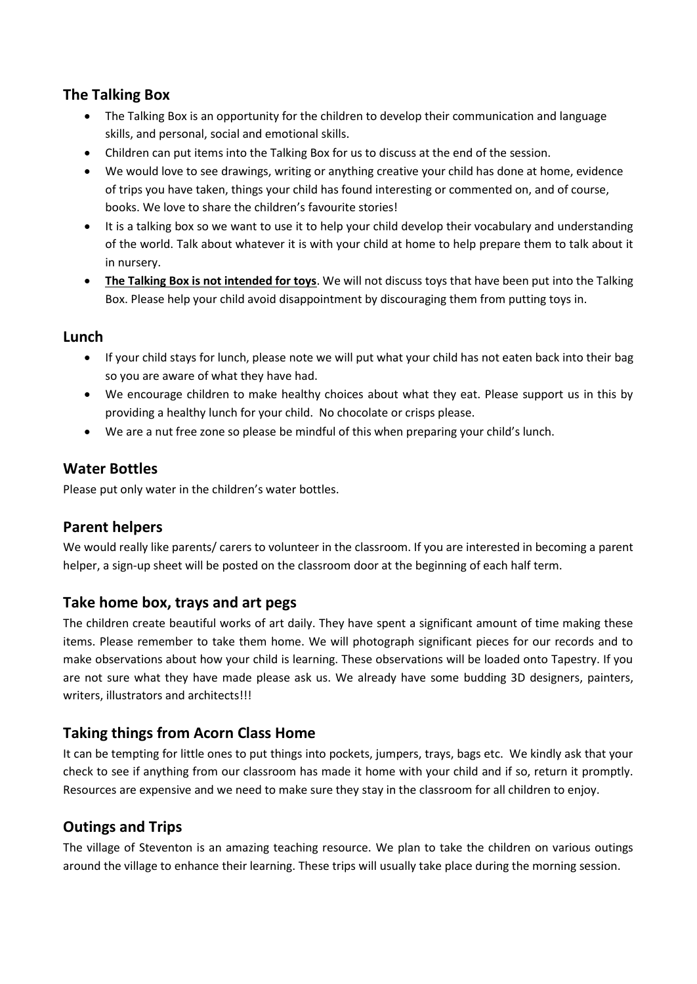## **The Talking Box**

- The Talking Box is an opportunity for the children to develop their communication and language skills, and personal, social and emotional skills.
- Children can put items into the Talking Box for us to discuss at the end of the session.
- We would love to see drawings, writing or anything creative your child has done at home, evidence of trips you have taken, things your child has found interesting or commented on, and of course, books. We love to share the children's favourite stories!
- It is a talking box so we want to use it to help your child develop their vocabulary and understanding of the world. Talk about whatever it is with your child at home to help prepare them to talk about it in nursery.
- **The Talking Box is not intended for toys**. We will not discuss toys that have been put into the Talking Box. Please help your child avoid disappointment by discouraging them from putting toys in.

## **Lunch**

- If your child stays for lunch, please note we will put what your child has not eaten back into their bag so you are aware of what they have had.
- We encourage children to make healthy choices about what they eat. Please support us in this by providing a healthy lunch for your child. No chocolate or crisps please.
- We are a nut free zone so please be mindful of this when preparing your child's lunch.

## **Water Bottles**

Please put only water in the children's water bottles.

## **Parent helpers**

We would really like parents/ carers to volunteer in the classroom. If you are interested in becoming a parent helper, a sign-up sheet will be posted on the classroom door at the beginning of each half term.

## **Take home box, trays and art pegs**

The children create beautiful works of art daily. They have spent a significant amount of time making these items. Please remember to take them home. We will photograph significant pieces for our records and to make observations about how your child is learning. These observations will be loaded onto Tapestry. If you are not sure what they have made please ask us. We already have some budding 3D designers, painters, writers, illustrators and architects!!!

## **Taking things from Acorn Class Home**

It can be tempting for little ones to put things into pockets, jumpers, trays, bags etc. We kindly ask that your check to see if anything from our classroom has made it home with your child and if so, return it promptly. Resources are expensive and we need to make sure they stay in the classroom for all children to enjoy.

## **Outings and Trips**

The village of Steventon is an amazing teaching resource. We plan to take the children on various outings around the village to enhance their learning. These trips will usually take place during the morning session.